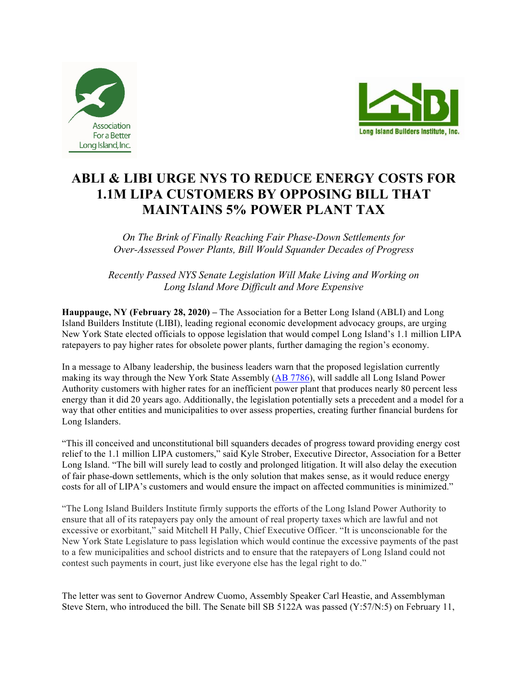



## **ABLI & LIBI URGE NYS TO REDUCE ENERGY COSTS FOR 1.1M LIPA CUSTOMERS BY OPPOSING BILL THAT MAINTAINS 5% POWER PLANT TAX**

*On The Brink of Finally Reaching Fair Phase-Down Settlements for Over-Assessed Power Plants, Bill Would Squander Decades of Progress*

*Recently Passed NYS Senate Legislation Will Make Living and Working on Long Island More Difficult and More Expensive*

**Hauppauge, NY (February 28, 2020) –** The Association for a Better Long Island (ABLI) and Long Island Builders Institute (LIBI), leading regional economic development advocacy groups, are urging New York State elected officials to oppose legislation that would compel Long Island's 1.1 million LIPA ratepayers to pay higher rates for obsolete power plants, further damaging the region's economy.

In a message to Albany leadership, the business leaders warn that the proposed legislation currently making its way through the New York State Assembly (AB 7786), will saddle all Long Island Power Authority customers with higher rates for an inefficient power plant that produces nearly 80 percent less energy than it did 20 years ago. Additionally, the legislation potentially sets a precedent and a model for a way that other entities and municipalities to over assess properties, creating further financial burdens for Long Islanders.

"This ill conceived and unconstitutional bill squanders decades of progress toward providing energy cost relief to the 1.1 million LIPA customers," said Kyle Strober, Executive Director, Association for a Better Long Island. "The bill will surely lead to costly and prolonged litigation. It will also delay the execution of fair phase-down settlements, which is the only solution that makes sense, as it would reduce energy costs for all of LIPA's customers and would ensure the impact on affected communities is minimized."

"The Long Island Builders Institute firmly supports the efforts of the Long Island Power Authority to ensure that all of its ratepayers pay only the amount of real property taxes which are lawful and not excessive or exorbitant," said Mitchell H Pally, Chief Executive Officer. "It is unconscionable for the New York State Legislature to pass legislation which would continue the excessive payments of the past to a few municipalities and school districts and to ensure that the ratepayers of Long Island could not contest such payments in court, just like everyone else has the legal right to do."

The letter was sent to Governor Andrew Cuomo, Assembly Speaker Carl Heastie, and Assemblyman Steve Stern, who introduced the bill. The Senate bill SB 5122A was passed (Y:57/N:5) on February 11,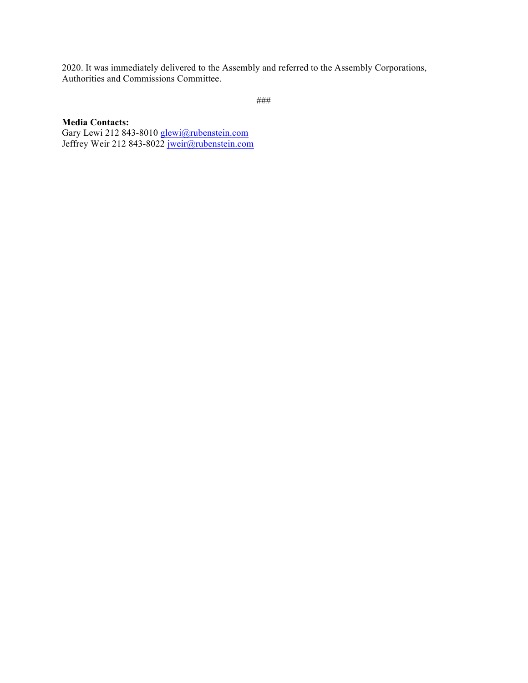2020. It was immediately delivered to the Assembly and referred to the Assembly Corporations, Authorities and Commissions Committee.

```
###
```
## **Media Contacts:**

Gary Lewi 212 843-8010 glewi@rubenstein.com Jeffrey Weir 212 843-8022 jweir@rubenstein.com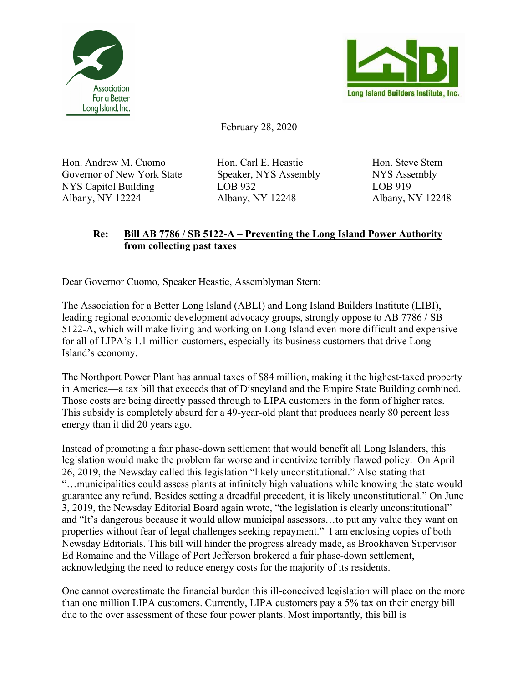



February 28, 2020

Hon. Andrew M. Cuomo Hon. Carl E. Heastie Hon. Steve Stern Governor of New York State Speaker, NYS Assembly NYS Assembly NYS Capitol Building LOB 932 LOB 919 Albany, NY 12224 Albany, NY 12248 Albany, NY 12248

## **Re: Bill AB 7786 / SB 5122-A – Preventing the Long Island Power Authority from collecting past taxes**

Dear Governor Cuomo, Speaker Heastie, Assemblyman Stern:

The Association for a Better Long Island (ABLI) and Long Island Builders Institute (LIBI), leading regional economic development advocacy groups, strongly oppose to AB 7786 / SB 5122-A, which will make living and working on Long Island even more difficult and expensive for all of LIPA's 1.1 million customers, especially its business customers that drive Long Island's economy.

The Northport Power Plant has annual taxes of \$84 million, making it the highest-taxed property in America—a tax bill that exceeds that of Disneyland and the Empire State Building combined. Those costs are being directly passed through to LIPA customers in the form of higher rates. This subsidy is completely absurd for a 49-year-old plant that produces nearly 80 percent less energy than it did 20 years ago.

Instead of promoting a fair phase-down settlement that would benefit all Long Islanders, this legislation would make the problem far worse and incentivize terribly flawed policy. On April 26, 2019, the Newsday called this legislation "likely unconstitutional." Also stating that "…municipalities could assess plants at infinitely high valuations while knowing the state would guarantee any refund. Besides setting a dreadful precedent, it is likely unconstitutional." On June 3, 2019, the Newsday Editorial Board again wrote, "the legislation is clearly unconstitutional" and "It's dangerous because it would allow municipal assessors…to put any value they want on properties without fear of legal challenges seeking repayment." I am enclosing copies of both Newsday Editorials. This bill will hinder the progress already made, as Brookhaven Supervisor Ed Romaine and the Village of Port Jefferson brokered a fair phase-down settlement, acknowledging the need to reduce energy costs for the majority of its residents.

One cannot overestimate the financial burden this ill-conceived legislation will place on the more than one million LIPA customers. Currently, LIPA customers pay a 5% tax on their energy bill due to the over assessment of these four power plants. Most importantly, this bill is